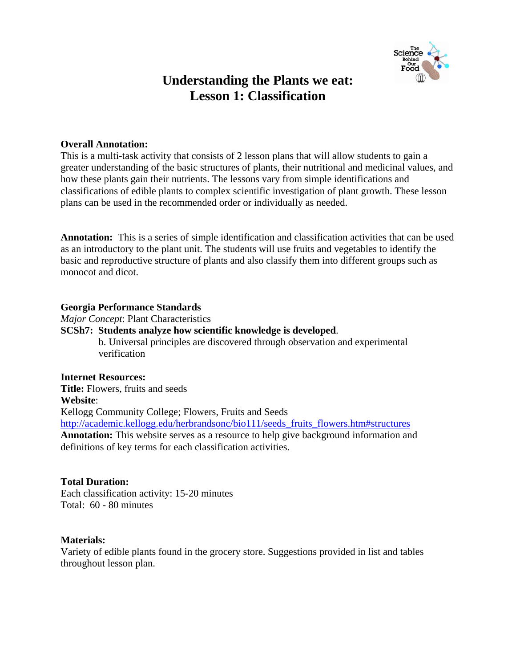

## **Understanding the Plants we eat: Lesson 1: Classification**

#### **Overall Annotation:**

This is a multi-task activity that consists of 2 lesson plans that will allow students to gain a greater understanding of the basic structures of plants, their nutritional and medicinal values, and how these plants gain their nutrients. The lessons vary from simple identifications and classifications of edible plants to complex scientific investigation of plant growth. These lesson plans can be used in the recommended order or individually as needed.

**Annotation:** This is a series of simple identification and classification activities that can be used as an introductory to the plant unit. The students will use fruits and vegetables to identify the basic and reproductive structure of plants and also classify them into different groups such as monocot and dicot.

#### **Georgia Performance Standards**

*Major Concept*: Plant Characteristics

**SCSh7: Students analyze how scientific knowledge is developed**.

b. Universal principles are discovered through observation and experimental verification

**Internet Resources: Title:** Flowers, fruits and seeds **Website**: Kellogg Community College; Flowers, Fruits and Seeds http://academic.kellogg.edu/herbrandsonc/bio111/seeds\_fruits\_flowers.htm#structures **Annotation:** This website serves as a resource to help give background information and definitions of key terms for each classification activities.

#### **Total Duration:**

Each classification activity: 15-20 minutes Total: 60 - 80 minutes

#### **Materials:**

Variety of edible plants found in the grocery store. Suggestions provided in list and tables throughout lesson plan.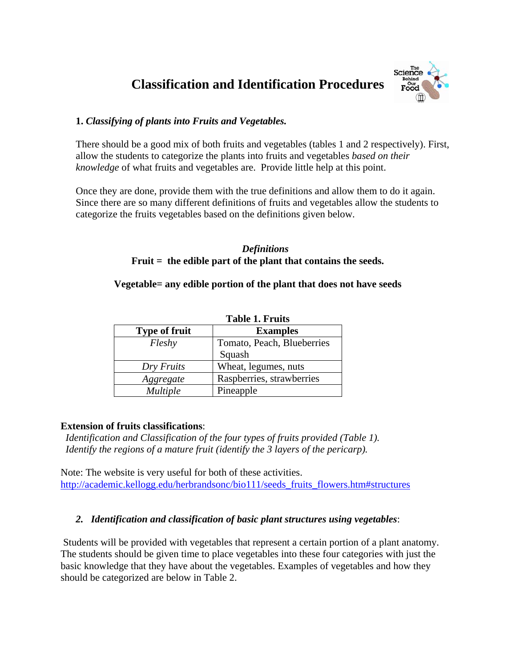# **Classification and Identification Procedures**



## **1.** *Classifying of plants into Fruits and Vegetables.*

There should be a good mix of both fruits and vegetables (tables 1 and 2 respectively). First, allow the students to categorize the plants into fruits and vegetables *based on their knowledge* of what fruits and vegetables are. Provide little help at this point.

Once they are done, provide them with the true definitions and allow them to do it again. Since there are so many different definitions of fruits and vegetables allow the students to categorize the fruits vegetables based on the definitions given below.

#### *Definitions*  **Fruit = the edible part of the plant that contains the seeds.**

## **Vegetable= any edible portion of the plant that does not have seeds**

|                      | <b>Table 1. Fruits</b>     |  |  |
|----------------------|----------------------------|--|--|
| <b>Type of fruit</b> | <b>Examples</b>            |  |  |
| Fleshy               | Tomato, Peach, Blueberries |  |  |
|                      | Squash                     |  |  |
| Dry Fruits           | Wheat, legumes, nuts       |  |  |
| Aggregate            | Raspberries, strawberries  |  |  |
| <b>Multiple</b>      | Pineapple                  |  |  |

## **Extension of fruits classifications**:

*Identification and Classification of the four types of fruits provided (Table 1). Identify the regions of a mature fruit (identify the 3 layers of the pericarp).* 

Note: The website is very useful for both of these activities. http://academic.kellogg.edu/herbrandsonc/bio111/seeds\_fruits\_flowers.htm#structures

## *2. Identification and classification of basic plant structures using vegetables*:

 Students will be provided with vegetables that represent a certain portion of a plant anatomy. The students should be given time to place vegetables into these four categories with just the basic knowledge that they have about the vegetables. Examples of vegetables and how they should be categorized are below in Table 2.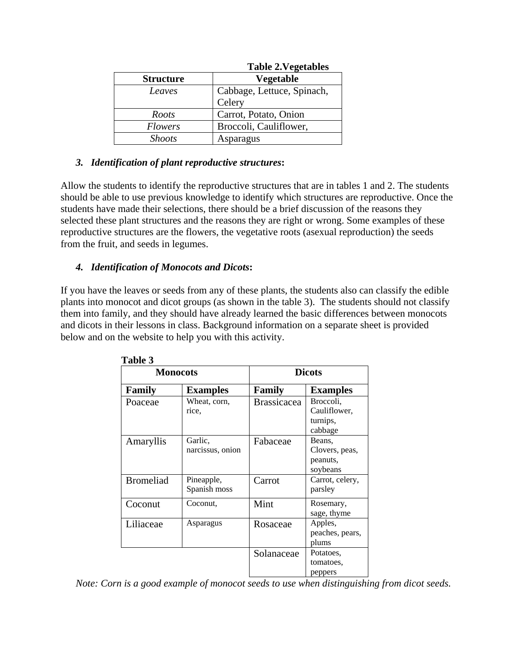|                  | <b>Table 2. Vegetables</b> |
|------------------|----------------------------|
| <b>Structure</b> | Vegetable                  |
| Leaves           | Cabbage, Lettuce, Spinach, |
|                  | Celery                     |
| Roots            | Carrot, Potato, Onion      |
| <b>Flowers</b>   | Broccoli, Cauliflower,     |
| <b>Shoots</b>    | Asparagus                  |

## $T<sub>1</sub>$   $\sim$   $T<sub>2</sub>$   $\sim$   $T<sub>1</sub>$

#### *3. Identification of plant reproductive structures***:**

Allow the students to identify the reproductive structures that are in tables 1 and 2. The students should be able to use previous knowledge to identify which structures are reproductive. Once the students have made their selections, there should be a brief discussion of the reasons they selected these plant structures and the reasons they are right or wrong. Some examples of these reproductive structures are the flowers, the vegetative roots (asexual reproduction) the seeds from the fruit, and seeds in legumes.

### *4. Identification of Monocots and Dicots***:**

If you have the leaves or seeds from any of these plants, the students also can classify the edible plants into monocot and dicot groups (as shown in the table 3). The students should not classify them into family, and they should have already learned the basic differences between monocots and dicots in their lessons in class. Background information on a separate sheet is provided below and on the website to help you with this activity.

| 1 avit J         |                             |                    |                                                  |
|------------------|-----------------------------|--------------------|--------------------------------------------------|
| <b>Monocots</b>  |                             | <b>Dicots</b>      |                                                  |
| Family           | <b>Examples</b>             | Family             | <b>Examples</b>                                  |
| Poaceae          | Wheat, corn,<br>rice.       | <b>Brassicacea</b> | Broccoli,<br>Cauliflower,<br>turnips,<br>cabbage |
| Amaryllis        | Garlic,<br>narcissus, onion | Fabaceae           | Beans,<br>Clovers, peas,<br>peanuts,<br>soybeans |
| <b>Bromeliad</b> | Pineapple,<br>Spanish moss  | Carrot             | Carrot, celery,<br>parsley                       |
| Coconut          | Coconut.                    | Mint               | Rosemary,<br>sage, thyme                         |
| Liliaceae        | Asparagus                   | Rosaceae           | Apples,<br>peaches, pears,<br>plums              |
|                  |                             | Solanaceae         | Potatoes,<br>tomatoes,<br>peppers                |

**Table 3** 

*Note: Corn is a good example of monocot seeds to use when distinguishing from dicot seeds.*